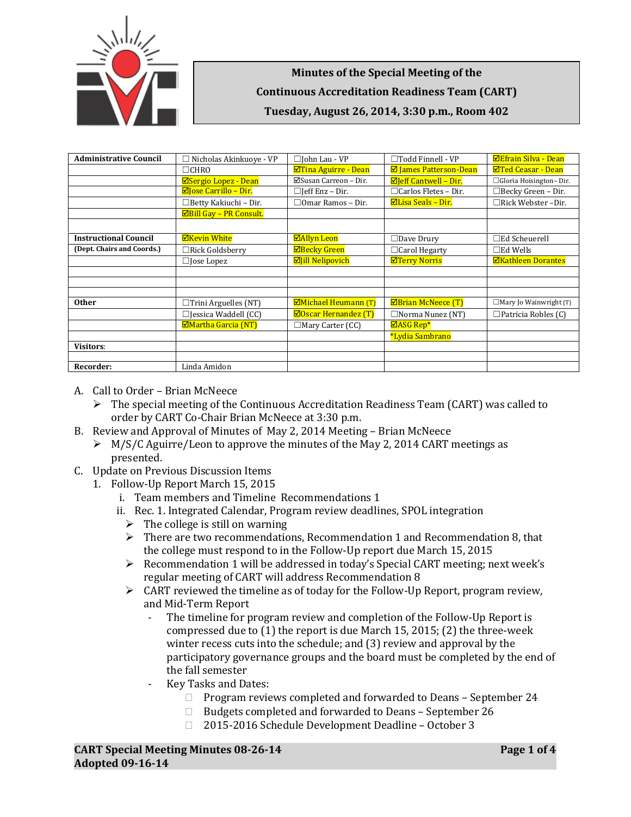

**Minutes of the Special Meeting of the Continuous Accreditation Readiness Team (CART) Tuesday, August 26, 2014, 3:30 p.m., Room 402**

| <b>Administrative Council</b> | $\Box$ Nicholas Akinkuove - VP | $\Box$ John Lau - VP          | $\Box$ Todd Finnell - VP      | <b>ØEfrain Silva - Dean</b>   |
|-------------------------------|--------------------------------|-------------------------------|-------------------------------|-------------------------------|
|                               | $\Box$ CHRO                    | ⊠Tina Aguirre - Dean          | <b>Ø</b> James Patterson-Dean | <b>⊠Ted Ceasar - Dean</b>     |
|                               | ⊠Sergio Lopez - Dean           | ⊠Susan Carreon - Dir.         | $\Xi$ leff Cantwell - Dir.    | □ Gloria Hoisington-Dir.      |
|                               | $\Box$ Jose Carrillo – Dir.    | $\Box$ Jeff Enz – Dir.        | $\Box$ Carlos Fletes – Dir.   | $\Box$ Becky Green - Dir.     |
|                               | □Betty Kakiuchi - Dir.         | $\Box$ Omar Ramos – Dir.      | $\Xi$ Lisa Seals – Dir.       | □Rick Webster-Dir.            |
|                               | <b>ØBill Gay - PR Consult.</b> |                               |                               |                               |
|                               |                                |                               |                               |                               |
| <b>Instructional Council</b>  | <b>ØKevin White</b>            | <b>ØAllyn Leon</b>            | $\Box$ Dave Drury             | $\Box$ Ed Scheuerell          |
| (Dept. Chairs and Coords.)    | $\Box$ Rick Goldsberry         | <b>ØBecky Green</b>           | $\Box$ Carol Hegarty          | $\square$ Ed Wells            |
|                               | $\Box$ Jose Lopez              | <b>Øjill Nelipovich</b>       | <b>ØTerry Norris</b>          | <b>ØKathleen Dorantes</b>     |
|                               |                                |                               |                               |                               |
|                               |                                |                               |                               |                               |
|                               |                                |                               |                               |                               |
| <b>Other</b>                  | $\Box$ Trini Arguelles (NT)    | <b>ØMichael Heumann</b> (T)   | <b>ØBrian McNeece (T)</b>     | $\Box$ Mary Jo Wainwright (T) |
|                               | $\Box$ Jessica Waddell (CC)    | $\boxdot$ Oscar Hernandez (T) | $\Box$ Norma Nunez (NT)       | $\Box$ Patricia Robles (C)    |
|                               | <b>ØMartha Garcia (NT)</b>     | $\Box$ Mary Carter (CC)       | $\Box$ ASG Rep*               |                               |
|                               |                                |                               | *Lydia Sambrano               |                               |
| <b>Visitors:</b>              |                                |                               |                               |                               |
|                               |                                |                               |                               |                               |
| Recorder:                     | Linda Amidon                   |                               |                               |                               |

- A. Call to Order Brian McNeece
	- $\triangleright$  The special meeting of the Continuous Accreditation Readiness Team (CART) was called to order by CART Co-Chair Brian McNeece at 3:30 p.m.
- B. Review and Approval of Minutes of May 2, 2014 Meeting Brian McNeece
	- $\triangleright$  M/S/C Aguirre/Leon to approve the minutes of the May 2, 2014 CART meetings as presented.
- C. Update on Previous Discussion Items
	- 1. Follow-Up Report March 15, 2015
		- i. Team members and Timeline Recommendations 1
		- ii. Rec. 1. Integrated Calendar, Program review deadlines, SPOL integration
			- $\triangleright$  The college is still on warning
			- $\triangleright$  There are two recommendations, Recommendation 1 and Recommendation 8, that the college must respond to in the Follow-Up report due March 15, 2015
			- $\triangleright$  Recommendation 1 will be addressed in today's Special CART meeting; next week's regular meeting of CART will address Recommendation 8
			- $\triangleright$  CART reviewed the timeline as of today for the Follow-Up Report, program review, and Mid-Term Report
				- The timeline for program review and completion of the Follow-Up Report is compressed due to (1) the report is due March 15, 2015; (2) the three-week winter recess cuts into the schedule; and (3) review and approval by the participatory governance groups and the board must be completed by the end of the fall semester
				- Key Tasks and Dates:
					- $\Box$  Program reviews completed and forwarded to Deans September 24
					- $\Box$  Budgets completed and forwarded to Deans September 26
					- 2015-2016 Schedule Development Deadline October 3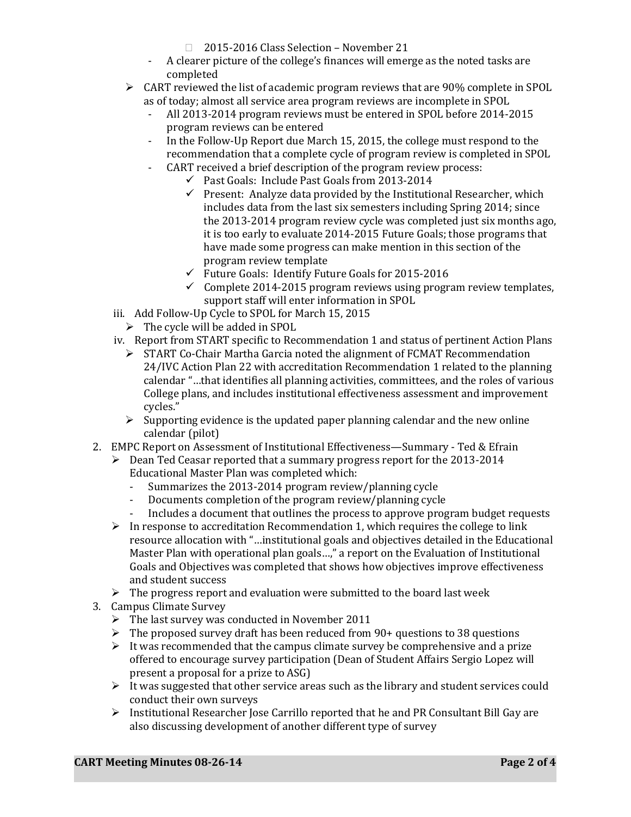- 2015-2016 Class Selection November 21
- A clearer picture of the college's finances will emerge as the noted tasks are completed
- $\triangleright$  CART reviewed the list of academic program reviews that are 90% complete in SPOL as of today; almost all service area program reviews are incomplete in SPOL
	- All 2013-2014 program reviews must be entered in SPOL before 2014-2015 program reviews can be entered
	- In the Follow-Up Report due March 15, 2015, the college must respond to the recommendation that a complete cycle of program review is completed in SPOL
	- CART received a brief description of the program review process:
		- $\checkmark$  Past Goals: Include Past Goals from 2013-2014
			- $\checkmark$  Present: Analyze data provided by the Institutional Researcher, which includes data from the last six semesters including Spring 2014; since the 2013-2014 program review cycle was completed just six months ago, it is too early to evaluate 2014-2015 Future Goals; those programs that have made some progress can make mention in this section of the program review template
			- $\checkmark$  Future Goals: Identify Future Goals for 2015-2016
			- $\checkmark$  Complete 2014-2015 program reviews using program review templates, support staff will enter information in SPOL
- iii. Add Follow-Up Cycle to SPOL for March 15, 2015
	- $\triangleright$  The cycle will be added in SPOL
- iv. Report from START specific to Recommendation 1 and status of pertinent Action Plans
	- $\triangleright$  START Co-Chair Martha Garcia noted the alignment of FCMAT Recommendation 24/IVC Action Plan 22 with accreditation Recommendation 1 related to the planning calendar "…that identifies all planning activities, committees, and the roles of various College plans, and includes institutional effectiveness assessment and improvement cycles."
	- $\triangleright$  Supporting evidence is the updated paper planning calendar and the new online calendar (pilot)
- 2. EMPC Report on Assessment of Institutional Effectiveness—Summary Ted & Efrain
	- $\triangleright$  Dean Ted Ceasar reported that a summary progress report for the 2013-2014 Educational Master Plan was completed which:
		- Summarizes the 2013-2014 program review/planning cycle<br>- Documents completion of the program review/planning cycl
		- Documents completion of the program review/planning cycle
		- Includes a document that outlines the process to approve program budget requests
	- $\triangleright$  In response to accreditation Recommendation 1, which requires the college to link resource allocation with "…institutional goals and objectives detailed in the Educational Master Plan with operational plan goals…," a report on the Evaluation of Institutional Goals and Objectives was completed that shows how objectives improve effectiveness and student success
	- $\triangleright$  The progress report and evaluation were submitted to the board last week
- 3. Campus Climate Survey
	- $\triangleright$  The last survey was conducted in November 2011
	- $\triangleright$  The proposed survey draft has been reduced from 90+ questions to 38 questions
	- $\triangleright$  It was recommended that the campus climate survey be comprehensive and a prize offered to encourage survey participation (Dean of Student Affairs Sergio Lopez will present a proposal for a prize to ASG)
	- $\triangleright$  It was suggested that other service areas such as the library and student services could conduct their own surveys
	- $\triangleright$  Institutional Researcher Jose Carrillo reported that he and PR Consultant Bill Gay are also discussing development of another different type of survey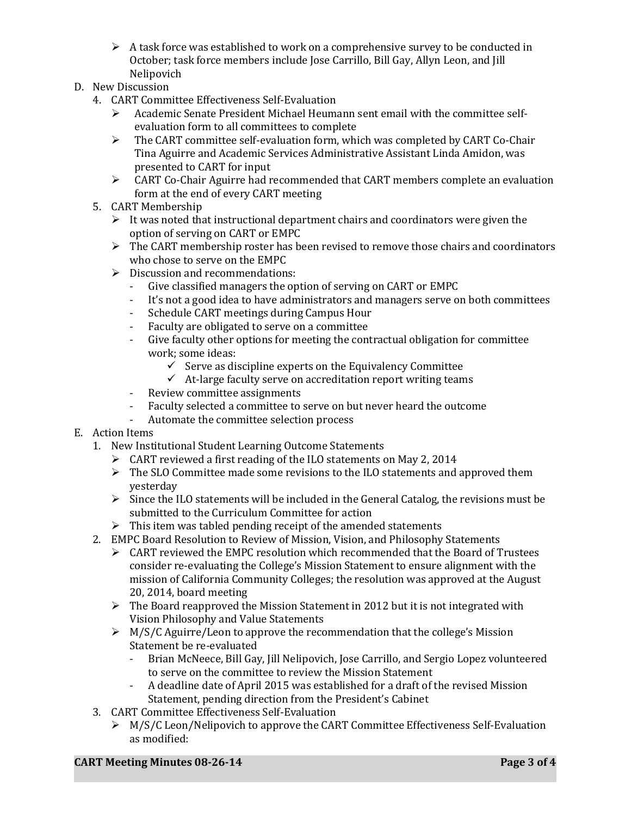- $\triangleright$  A task force was established to work on a comprehensive survey to be conducted in October; task force members include Jose Carrillo, Bill Gay, Allyn Leon, and Jill Nelipovich
- D. New Discussion
	- 4. CART Committee Effectiveness Self-Evaluation<br>  $\triangleright$  Academic Senate President Michael Heuma
		- Academic Senate President Michael Heumann sent email with the committee selfevaluation form to all committees to complete
		- $\triangleright$  The CART committee self-evaluation form, which was completed by CART Co-Chair Tina Aguirre and Academic Services Administrative Assistant Linda Amidon, was presented to CART for input
		- CART Co-Chair Aguirre had recommended that CART members complete an evaluation form at the end of every CART meeting
	- 5. CART Membership
		- $\triangleright$  It was noted that instructional department chairs and coordinators were given the option of serving on CART or EMPC
		- $\triangleright$  The CART membership roster has been revised to remove those chairs and coordinators who chose to serve on the EMPC
		- $\geq$  Discussion and recommendations:<br>- Give classified managers the one
			- Give classified managers the option of serving on CART or EMPC<br>- It's not a good idea to have administrators and managers serve of
			- It's not a good idea to have administrators and managers serve on both committees<br>- Schedule CART meetings during Campus Hour
			- Schedule CART meetings during Campus Hour
			- Faculty are obligated to serve on a committee<br>- Give faculty other options for meeting the cont
			- Give faculty other options for meeting the contractual obligation for committee work; some ideas:
				- $\checkmark$  Serve as discipline experts on the Equivalency Committee
				- $\checkmark$  At-large faculty serve on accreditation report writing teams
			- Review committee assignments
			- Faculty selected a committee to serve on but never heard the outcome<br>- Automate the committee selection process
			- Automate the committee selection process

## E. Action Items

- 1. New Institutional Student Learning Outcome Statements
	- CART reviewed a first reading of the ILO statements on May 2, 2014
	- $\triangleright$  The SLO Committee made some revisions to the ILO statements and approved them yesterday
	- $\triangleright$  Since the ILO statements will be included in the General Catalog, the revisions must be submitted to the Curriculum Committee for action
- $\triangleright$  This item was tabled pending receipt of the amended statements
- 2. EMPC Board Resolution to Review of Mission, Vision, and Philosophy Statements
	- $\triangleright$  CART reviewed the EMPC resolution which recommended that the Board of Trustees consider re-evaluating the College's Mission Statement to ensure alignment with the mission of California Community Colleges; the resolution was approved at the August 20, 2014, board meeting
	- $\triangleright$  The Board reapproved the Mission Statement in 2012 but it is not integrated with Vision Philosophy and Value Statements
	- $\triangleright$  M/S/C Aguirre/Leon to approve the recommendation that the college's Mission Statement be re-evaluated
		- Brian McNeece, Bill Gay, Jill Nelipovich, Jose Carrillo, and Sergio Lopez volunteered to serve on the committee to review the Mission Statement
		- A deadline date of April 2015 was established for a draft of the revised Mission Statement, pending direction from the President's Cabinet
- 3. CART Committee Effectiveness Self-Evaluation
	- ▶ M/S/C Leon/Nelipovich to approve the CART Committee Effectiveness Self-Evaluation as modified: